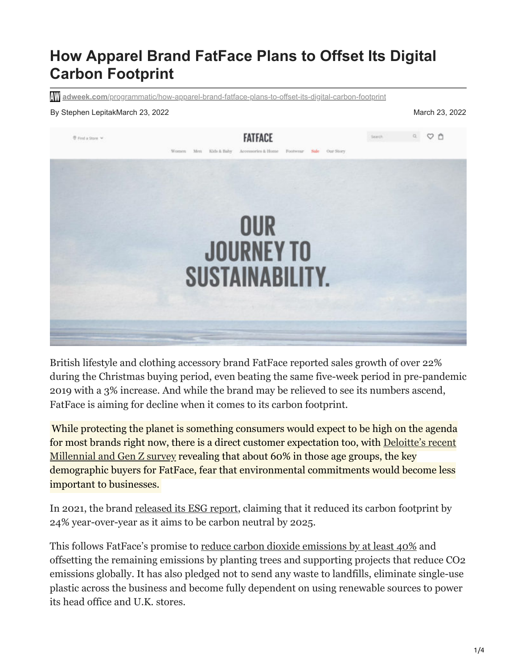# **How Apparel Brand FatFace Plans to Offset Its Digital Carbon Footprint**

**adweek.com**[/programmatic/how-apparel-brand-fatface-plans-to-offset-its-digital-carbon-footprint](https://www.adweek.com/programmatic/how-apparel-brand-fatface-plans-to-offset-its-digital-carbon-footprint/)

#### By Stephen LepitakMarch 23, 2022 March 23, 2022



British lifestyle and clothing accessory brand FatFace reported sales growth of over 22% during the Christmas buying period, even beating the same five-week period in pre-pandemic 2019 with a 3% increase. And while the brand may be relieved to see its numbers ascend, FatFace is aiming for decline when it comes to its carbon footprint.

While protecting the planet is something consumers would expect to be high on the agenda [for most brands right now, there is a direct customer expectation too, with Deloitte's recent](https://www2.deloitte.com/global/en/pages/about-deloitte/articles/millennialsurvey.html) Millennial and Gen Z survey revealing that about 60% in those age groups, the key demographic buyers for FatFace, fear that environmental commitments would become less important to businesses.

In 2021, the brand <u>released its ESG report</u>, claiming that it reduced its carbon footprint by 24% year-over-year as it aims to be carbon neutral by 2025.

This follows FatFace's promise to <u>reduce carbon dioxide emissions by at least 40%</u> and offsetting the remaining emissions by planting trees and supporting projects that reduce CO2 emissions globally. It has also pledged not to send any waste to landfills, eliminate single-use plastic across the business and become fully dependent on using renewable sources to power its head office and U.K. stores.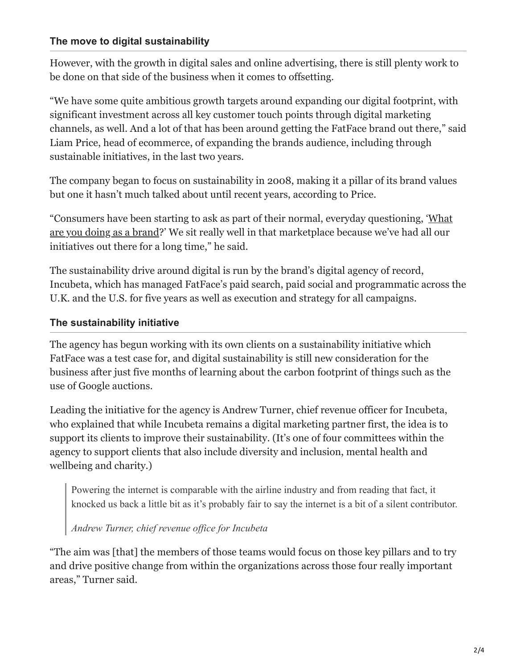### **The move to digital sustainability**

However, with the growth in digital sales and online advertising, there is still plenty work to be done on that side of the business when it comes to offsetting.

"We have some quite ambitious growth targets around expanding our digital footprint, with significant investment across all key customer touch points through digital marketing channels, as well. And a lot of that has been around getting the FatFace brand out there," said Liam Price, head of ecommerce, of expanding the brands audience, including through sustainable initiatives, in the last two years.

The company began to focus on sustainability in 2008, making it a pillar of its brand values but one it hasn't much talked about until recent years, according to Price.

["Consumers have been starting to ask as part of their normal, everyday questioning, 'What](https://www.adweek.com/brand-marketing/americans-want-sustainable-products/) are you doing as a brand?' We sit really well in that marketplace because we've had all our initiatives out there for a long time," he said.

The sustainability drive around digital is run by the brand's digital agency of record, Incubeta, which has managed FatFace's paid search, paid social and programmatic across the U.K. and the U.S. for five years as well as execution and strategy for all campaigns.

### **The sustainability initiative**

The agency has begun working with its own clients on a sustainability initiative which FatFace was a test case for, and digital sustainability is still new consideration for the business after just five months of learning about the carbon footprint of things such as the use of Google auctions.

Leading the initiative for the agency is Andrew Turner, chief revenue officer for Incubeta, who explained that while Incubeta remains a digital marketing partner first, the idea is to support its clients to improve their sustainability. (It's one of four committees within the agency to support clients that also include diversity and inclusion, mental health and wellbeing and charity.)

Powering the internet is comparable with the airline industry and from reading that fact, it knocked us back a little bit as it's probably fair to say the internet is a bit of a silent contributor.

# *Andrew Turner, chief revenue office for Incubeta*

"The aim was [that] the members of those teams would focus on those key pillars and to try and drive positive change from within the organizations across those four really important areas," Turner said.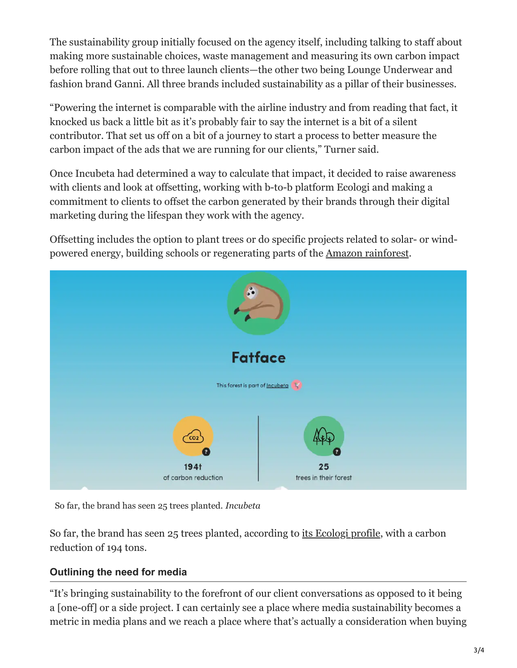The sustainability group initially focused on the agency itself, including talking to staff about making more sustainable choices, waste management and measuring its own carbon impact before rolling that out to three launch clients—the other two being Lounge Underwear and fashion brand Ganni. All three brands included sustainability as a pillar of their businesses.

"Powering the internet is comparable with the airline industry and from reading that fact, it knocked us back a little bit as it's probably fair to say the internet is a bit of a silent contributor. That set us off on a bit of a journey to start a process to better measure the carbon impact of the ads that we are running for our clients," Turner said.

Once Incubeta had determined a way to calculate that impact, it decided to raise awareness with clients and look at offsetting, working with b-to-b platform Ecologi and making a commitment to clients to offset the carbon generated by their brands through their digital marketing during the lifespan they work with the agency.

Offsetting includes the option to plant trees or do specific projects related to solar- or windpowered energy, building schools or regenerating parts of the [Amazon rainforest](https://www.adweek.com/creativity/climate-change-activists-ask-jeff-bezos-to-buy-the-amazon-rainforest/).



So far, the brand has seen 25 trees planted. *Incubeta*

So far, the brand has seen 25 trees planted, according to [its Ecologi profile,](https://ecologi.com/incubeta/fatface) with a carbon reduction of 194 tons.

# **Outlining the need for media**

"It's bringing sustainability to the forefront of our client conversations as opposed to it being a [one-off] or a side project. I can certainly see a place where media sustainability becomes a metric in media plans and we reach a place where that's actually a consideration when buying